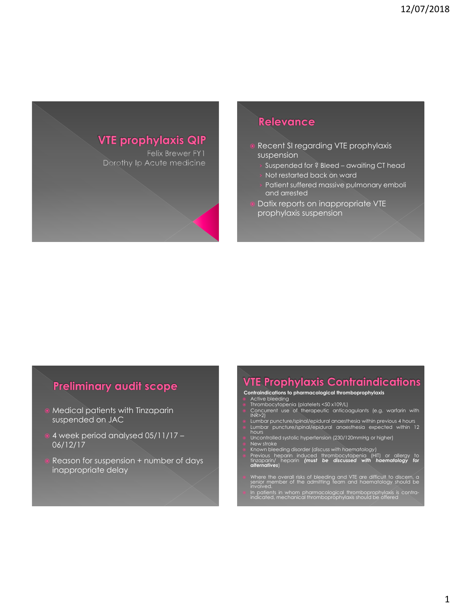

## Relevance

- Recent SI regarding VTE prophylaxis suspension
	- Suspended for ? Bleed awaiting CT head
	- Not restarted back on ward
	- Patient suffered massive pulmonary emboli and arrested
- Datix reports on inappropriate VTE prophylaxis suspension

### **Preliminary audit scope**

- Medical patients with Tinzaparin suspended on JAC
- 4 week period analysed 05/11/17 06/12/17
- Reason for suspension + number of days inappropriate delay

# **VTE Prophylaxis Contraindications**

- **Contraindications to pharmacological thromboprophylaxis**
- 
- 
- Active bleeding Thrombocytopenia (platelets <50 x109/L) Concurrent use of therapeutic anticoagulants (e.g. warfarin with INR>2)
- Lumbar puncture/spinal/epidural anaesthesia within previous 4 hours Lumbar puncture/spinal/epidural anaesthesia expected within 12 hours
- Uncontrolled systolic hypertension (230/120mmHg or higher)
- 
- **•** New stroke<br>• Known bleeding disorder (discuss with haematology)<br>• Previous heparin induced thrombocytopenia (HIT) or allergy to<br>• diternatives)<br>• **difernatives**)
- Where the overall risks of bleeding and VTE are difficult to discern, a senior member of the admitting team and haematology should be involved.
- In patients in whom pharmacological thromboprophylaxis is contra-indicated, mechanical thromboprophylaxis should be offered